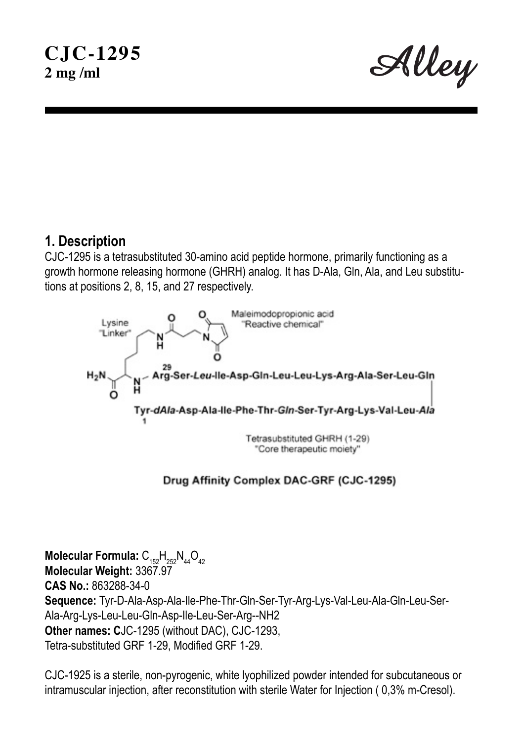Alley

## **1. Description**

CJC-1295 is a tetrasubstituted 30-amino acid peptide hormone, primarily functioning as a growth hormone releasing hormone (GHRH) analog. It has D-Ala, Gln, Ala, and Leu substitutions at positions 2, 8, 15, and 27 respectively.



#### Drug Affinity Complex DAC-GRF (CJC-1295)

**Molecular Formula:**  $C_{152}H_{252}N_{44}O_{42}$ **Molecular Weight:** 3367.97 **CAS No.:** 863288-34-0 **Sequence:** Tyr-D-Ala-Asp-Ala-Ile-Phe-Thr-Gln-Ser-Tyr-Arg-Lys-Val-Leu-Ala-Gln-Leu-Ser-Ala-Arg-Lys-Leu-Leu-Gln-Asp-Ile-Leu-Ser-Arg--NH2 **Other names: C**JC-1295 (without DAC), CJC-1293, Tetra-substituted GRF 1-29, Modified GRF 1-29.

CJC-1925 is a sterile, non-pyrogenic, white lyophilized powder intended for subcutaneous or intramuscular injection, after reconstitution with sterile Water for Injection ( 0,3% m-Cresol).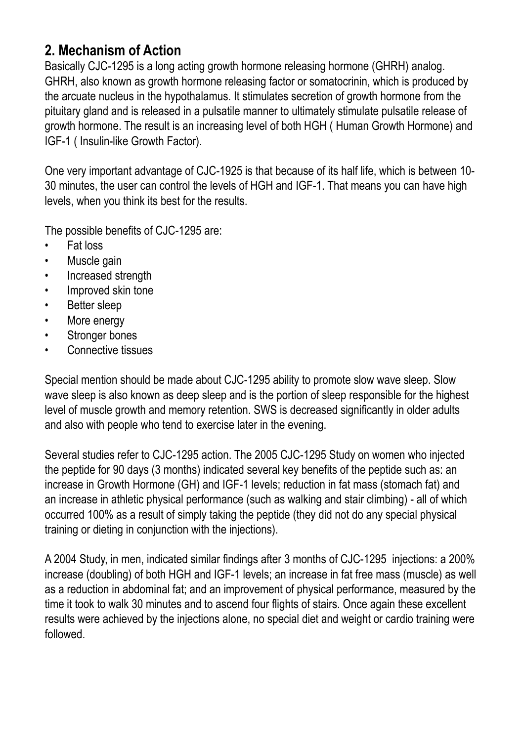# **2. Mechanism of Action**

Basically CJC-1295 is a long acting growth hormone releasing hormone (GHRH) analog. GHRH, also known as growth hormone releasing factor or somatocrinin, which is produced by the arcuate nucleus in the hypothalamus. It stimulates secretion of growth hormone from the pituitary gland and is released in a pulsatile manner to ultimately stimulate pulsatile release of growth hormone. The result is an increasing level of both HGH ( Human Growth Hormone) and IGF-1 ( Insulin-like Growth Factor).

One very important advantage of CJC-1925 is that because of its half life, which is between 10- 30 minutes, the user can control the levels of HGH and IGF-1. That means you can have high levels, when you think its best for the results.

The possible benefits of CJC-1295 are:

- Fat loss
- Muscle gain
- Increased strength
- Improved skin tone
- Better sleep
- More energy
- Stronger bones
- Connective tissues

Special mention should be made about CJC-1295 ability to promote slow wave sleep. Slow wave sleep is also known as deep sleep and is the portion of sleep responsible for the highest level of muscle growth and memory retention. SWS is decreased significantly in older adults and also with people who tend to exercise later in the evening.

Several studies refer to CJC-1295 action. The 2005 CJC-1295 Study on women who injected the peptide for 90 days (3 months) indicated several key benefits of the peptide such as: an increase in Growth Hormone (GH) and IGF-1 levels; reduction in fat mass (stomach fat) and an increase in athletic physical performance (such as walking and stair climbing) - all of which occurred 100% as a result of simply taking the peptide (they did not do any special physical training or dieting in conjunction with the injections).

A 2004 Study, in men, indicated similar findings after 3 months of CJC-1295 injections: a 200% increase (doubling) of both HGH and IGF-1 levels; an increase in fat free mass (muscle) as well as a reduction in abdominal fat; and an improvement of physical performance, measured by the time it took to walk 30 minutes and to ascend four flights of stairs. Once again these excellent results were achieved by the injections alone, no special diet and weight or cardio training were followed.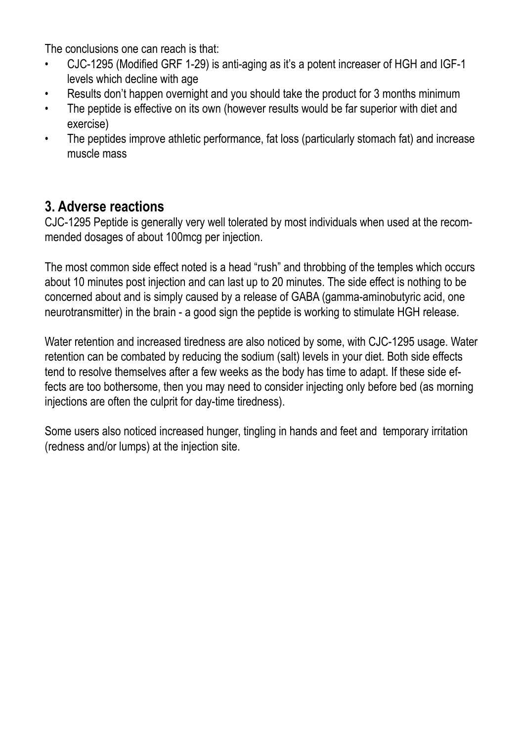The conclusions one can reach is that:

- CJC-1295 (Modified GRF 1-29) is anti-aging as it's a potent increaser of HGH and IGF-1 levels which decline with age
- Results don't happen overnight and you should take the product for 3 months minimum
- The peptide is effective on its own (however results would be far superior with diet and exercise)
- The peptides improve athletic performance, fat loss (particularly stomach fat) and increase muscle mass

# **3. Adverse reactions**

CJC-1295 Peptide is generally very well tolerated by most individuals when used at the recommended dosages of about 100mcg per injection.

The most common side effect noted is a head "rush" and throbbing of the temples which occurs about 10 minutes post injection and can last up to 20 minutes. The side effect is nothing to be concerned about and is simply caused by a release of GABA (gamma-aminobutyric acid, one neurotransmitter) in the brain - a good sign the peptide is working to stimulate HGH release.

Water retention and increased tiredness are also noticed by some, with CJC-1295 usage. Water retention can be combated by reducing the sodium (salt) levels in your diet. Both side effects tend to resolve themselves after a few weeks as the body has time to adapt. If these side effects are too bothersome, then you may need to consider injecting only before bed (as morning injections are often the culprit for day-time tiredness).

Some users also noticed increased hunger, tingling in hands and feet and temporary irritation (redness and/or lumps) at the injection site.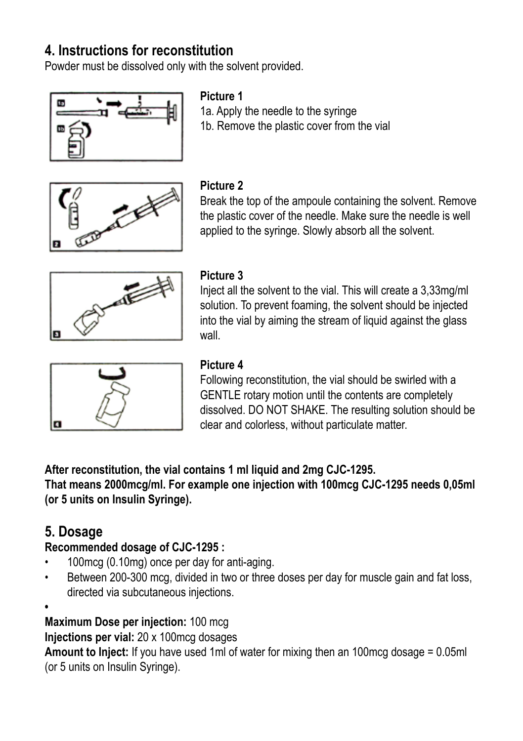# **4. Instructions for reconstitution**

Powder must be dissolved only with the solvent provided.



#### **Picture 1**

1a. Apply the needle to the syringe 1b. Remove the plastic cover from the vial



#### **Picture 2**

Break the top of the ampoule containing the solvent. Remove the plastic cover of the needle. Make sure the needle is well applied to the syringe. Slowly absorb all the solvent.



## **Picture 3**

Inject all the solvent to the vial. This will create a 3,33mg/ml solution. To prevent foaming, the solvent should be injected into the vial by aiming the stream of liquid against the glass wall



## **Picture 4**

Following reconstitution, the vial should be swirled with a GENTLE rotary motion until the contents are completely dissolved. DO NOT SHAKE. The resulting solution should be clear and colorless, without particulate matter.

**After reconstitution, the vial contains 1 ml liquid and 2mg CJC-1295.** 

**That means 2000mcg/ml. For example one injection with 100mcg CJC-1295 needs 0,05ml (or 5 units on Insulin Syringe).** 

# **5. Dosage**

### **Recommended dosage of CJC-1295 :**

- 100mcg (0.10mg) once per day for anti-aging.
- Between 200-300 mcg, divided in two or three doses per day for muscle gain and fat loss, directed via subcutaneous injections.
- **•**

**Maximum Dose per injection:** 100 mcg

**Injections per vial:** 20 x 100mcg dosages

**Amount to Inject:** If you have used 1ml of water for mixing then an 100mcg dosage = 0.05ml (or 5 units on Insulin Syringe).